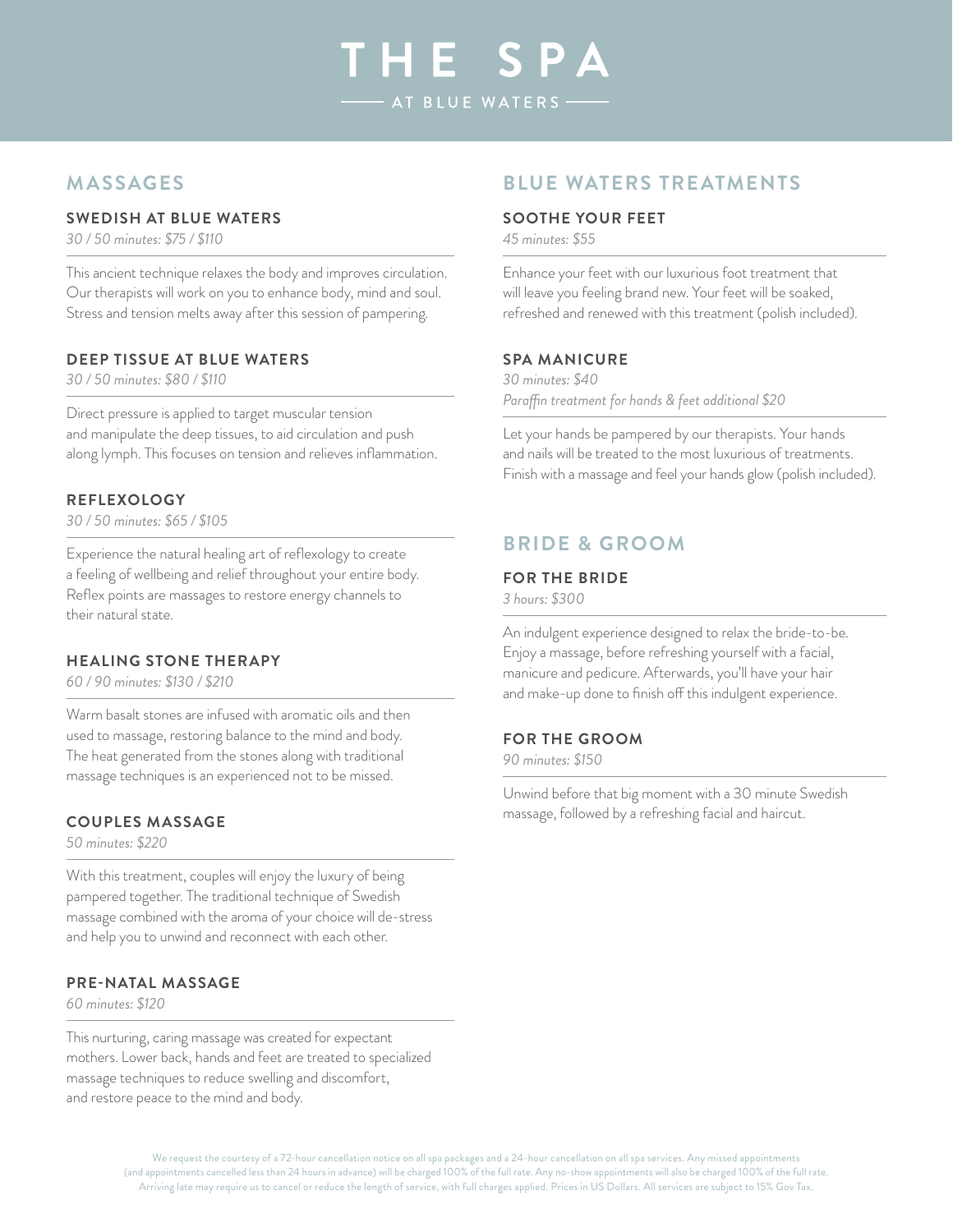# THE SPA AT BLUE WATERS

# **Massages**

#### **Swedish at Blue Waters**

*30 / 50 minutes: \$75 / \$110*

This ancient technique relaxes the body and improves circulation. Our therapists will work on you to enhance body, mind and soul. Stress and tension melts away after this session of pampering.

#### **Deep Tissue at Blue Waters**

*30 / 50 minutes: \$80 / \$110*

Direct pressure is applied to target muscular tension and manipulate the deep tissues, to aid circulation and push along lymph. This focuses on tension and relieves inflammation.

#### **Reflexology**

*30 / 50 minutes: \$65 / \$105*

Experience the natural healing art of reflexology to create a feeling of wellbeing and relief throughout your entire body. Reflex points are massages to restore energy channels to their natural state.

#### **Healing Stone Therapy**

*60 / 90 minutes: \$130 / \$210*

Warm basalt stones are infused with aromatic oils and then used to massage, restoring balance to the mind and body. The heat generated from the stones along with traditional massage techniques is an experienced not to be missed.

#### **Couples Massage**

*50 minutes: \$220*

With this treatment, couples will enjoy the luxury of being pampered together. The traditional technique of Swedish massage combined with the aroma of your choice will de-stress and help you to unwind and reconnect with each other.

#### **Pre-Natal Massage**

*60 minutes: \$120*

This nurturing, caring massage was created for expectant mothers. Lower back, hands and feet are treated to specialized massage techniques to reduce swelling and discomfort, and restore peace to the mind and body.

## **BLUE WATERS TREATMENTS**

#### **Soothe Your Feet**

*45 minutes: \$55*

Enhance your feet with our luxurious foot treatment that will leave you feeling brand new. Your feet will be soaked, refreshed and renewed with this treatment (polish included).

#### **Spa Manicure**

*30 minutes: \$40 Paraffin treatment for hands & feet additional \$20*

Let your hands be pampered by our therapists. Your hands and nails will be treated to the most luxurious of treatments. Finish with a massage and feel your hands glow (polish included).

## **bride & groom**

#### **For the Bride**

*3 hours: \$300*

An indulgent experience designed to relax the bride-to-be. Enjoy a massage, before refreshing yourself with a facial, manicure and pedicure. Afterwards, you'll have your hair and make-up done to finish off this indulgent experience.

#### **For the Groom**

*90 minutes: \$150*

Unwind before that big moment with a 30 minute Swedish massage, followed by a refreshing facial and haircut.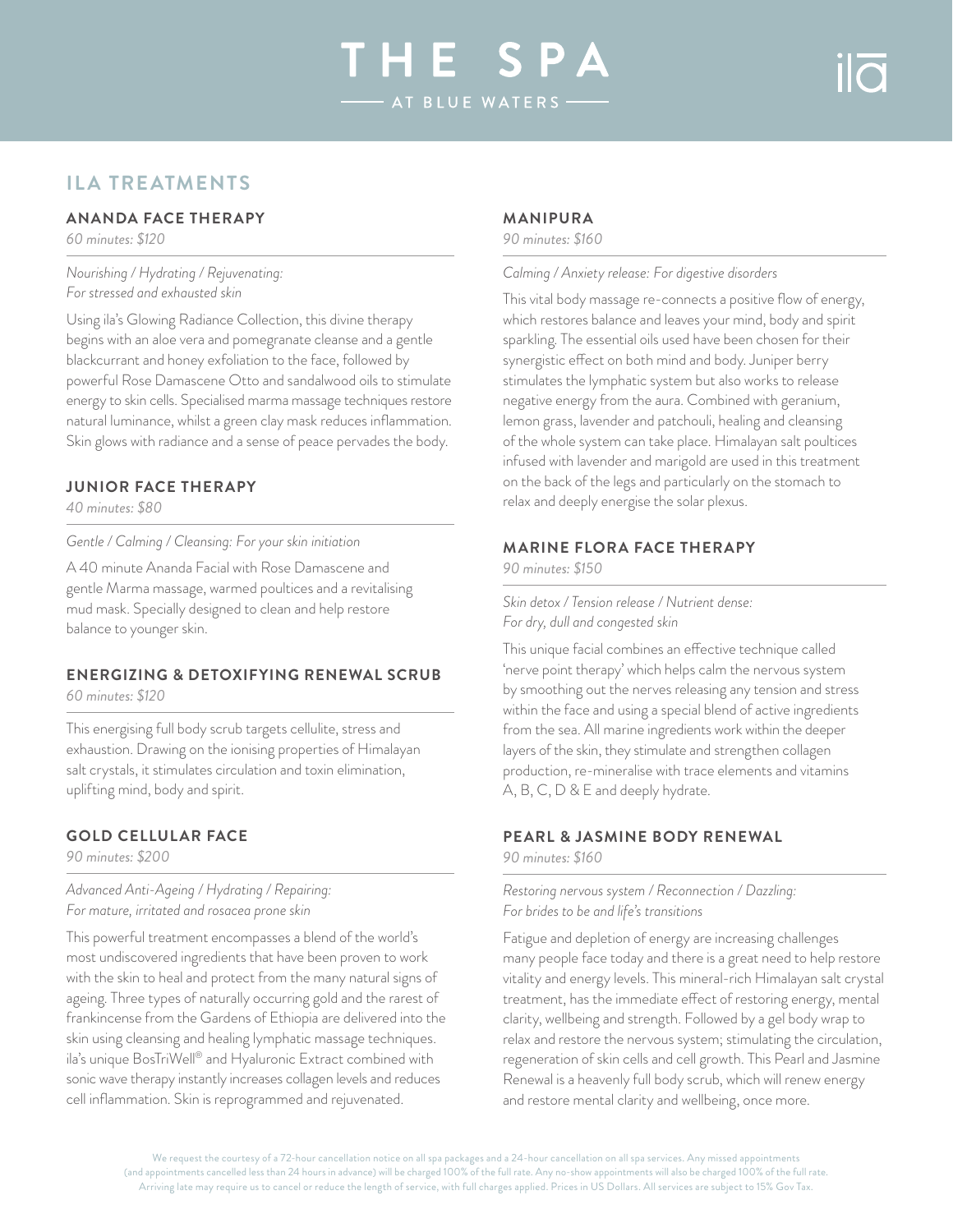# HE SP AT BLUE WATERS

# **ila treatments**

#### **Ananda Face Therapy**

*60 minutes: \$120*

*Nourishing / Hydrating / Rejuvenating: For stressed and exhausted skin*

Using ila's Glowing Radiance Collection, this divine therapy begins with an aloe vera and pomegranate cleanse and a gentle blackcurrant and honey exfoliation to the face, followed by powerful Rose Damascene Otto and sandalwood oils to stimulate energy to skin cells. Specialised marma massage techniques restore natural luminance, whilst a green clay mask reduces inflammation. Skin glows with radiance and a sense of peace pervades the body.

#### **Junior Face Therapy**

*40 minutes: \$80*

*Gentle / Calming / Cleansing: For your skin initiation*

A 40 minute Ananda Facial with Rose Damascene and gentle Marma massage, warmed poultices and a revitalising mud mask. Specially designed to clean and help restore balance to younger skin.

## **Energizing & Detoxifying Renewal scrub**

*60 minutes: \$120*

This energising full body scrub targets cellulite, stress and exhaustion. Drawing on the ionising properties of Himalayan salt crystals, it stimulates circulation and toxin elimination, uplifting mind, body and spirit.

#### **Gold Cellular Face**

*90 minutes: \$200*

*Advanced Anti-Ageing / Hydrating / Repairing: For mature, irritated and rosacea prone skin*

This powerful treatment encompasses a blend of the world's most undiscovered ingredients that have been proven to work with the skin to heal and protect from the many natural signs of ageing. Three types of naturally occurring gold and the rarest of frankincense from the Gardens of Ethiopia are delivered into the skin using cleansing and healing lymphatic massage techniques. ila's unique BosTriWell® and Hyaluronic Extract combined with sonic wave therapy instantly increases collagen levels and reduces cell inflammation. Skin is reprogrammed and rejuvenated.

#### **Manipura**

*90 minutes: \$160*

#### *Calming / Anxiety release: For digestive disorders*

This vital body massage re-connects a positive flow of energy, which restores balance and leaves your mind, body and spirit sparkling. The essential oils used have been chosen for their synergistic effect on both mind and body. Juniper berry stimulates the lymphatic system but also works to release negative energy from the aura. Combined with geranium, lemon grass, lavender and patchouli, healing and cleansing of the whole system can take place. Himalayan salt poultices infused with lavender and marigold are used in this treatment on the back of the legs and particularly on the stomach to relax and deeply energise the solar plexus.

#### **Marine Flora Face Therapy**

*90 minutes: \$150*

*Skin detox / Tension release / Nutrient dense: For dry, dull and congested skin*

This unique facial combines an effective technique called 'nerve point therapy' which helps calm the nervous system by smoothing out the nerves releasing any tension and stress within the face and using a special blend of active ingredients from the sea. All marine ingredients work within the deeper layers of the skin, they stimulate and strengthen collagen production, re-mineralise with trace elements and vitamins A, B, C, D & E and deeply hydrate.

#### **Pearl & Jasmine Body Renewal**

*90 minutes: \$160*

*Restoring nervous system / Reconnection / Dazzling: For brides to be and life's transitions*

Fatigue and depletion of energy are increasing challenges many people face today and there is a great need to help restore vitality and energy levels. This mineral-rich Himalayan salt crystal treatment, has the immediate effect of restoring energy, mental clarity, wellbeing and strength. Followed by a gel body wrap to relax and restore the nervous system; stimulating the circulation, regeneration of skin cells and cell growth. This Pearl and Jasmine Renewal is a heavenly full body scrub, which will renew energy and restore mental clarity and wellbeing, once more.

We request the courtesy of a 72-hour cancellation notice on all spa packages and a 24-hour cancellation on all spa services. Any missed appointments (and appointments cancelled less than 24 hours in advance) will be charged 100% of the full rate. Any no-show appointments will also be charged 100% of the full rate. Arriving late may require us to cancel or reduce the length of service, with full charges applied. Prices in US Dollars. All services are subject to 15% Gov Tax.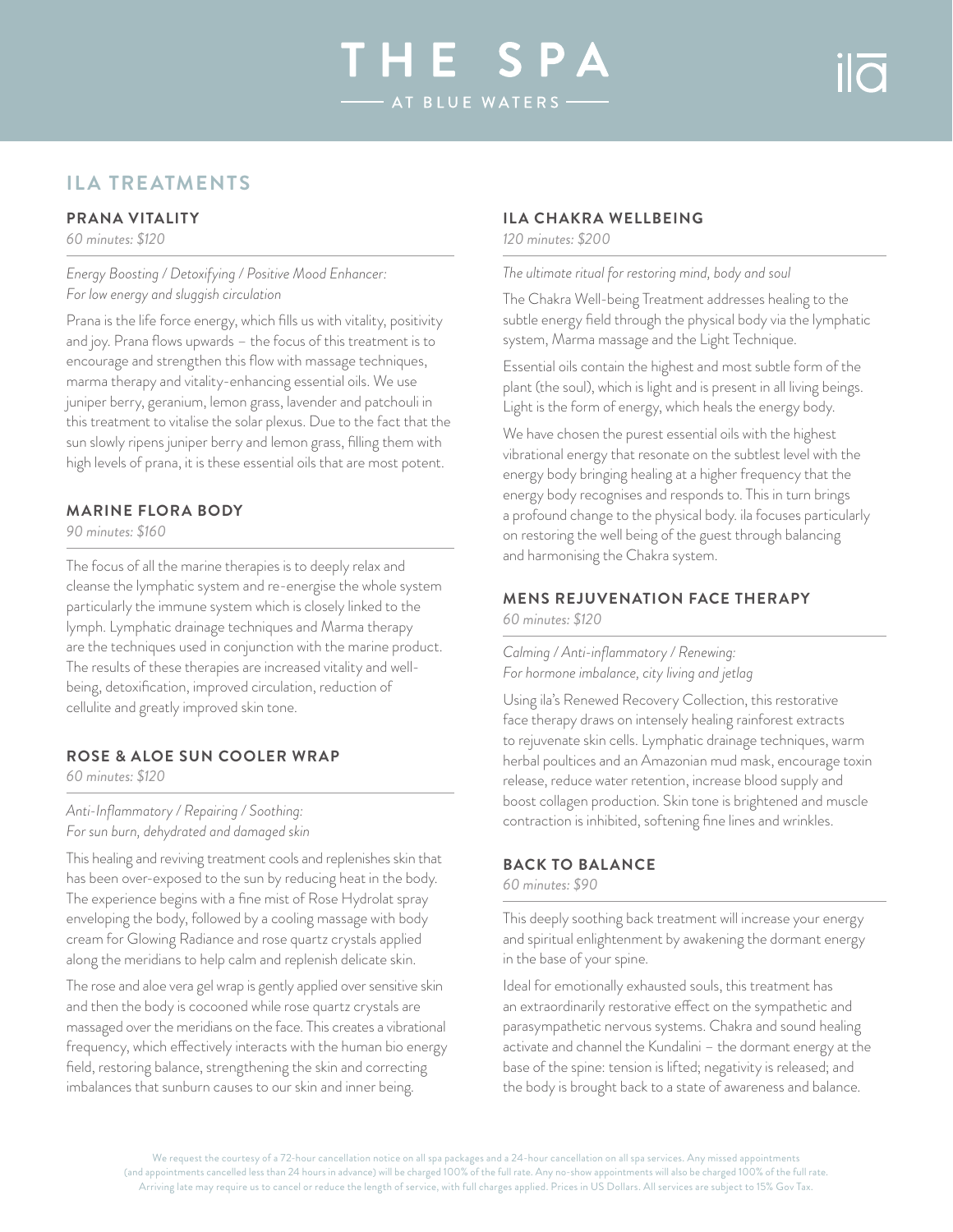# HE SP AT BLUE WATERS

# **ila treatments**

#### **Prana vitality**

*60 minutes: \$120*

*Energy Boosting / Detoxifying / Positive Mood Enhancer: For low energy and sluggish circulation*

Prana is the life force energy, which fills us with vitality, positivity and joy. Prana flows upwards – the focus of this treatment is to encourage and strengthen this flow with massage techniques, marma therapy and vitality-enhancing essential oils. We use juniper berry, geranium, lemon grass, lavender and patchouli in this treatment to vitalise the solar plexus. Due to the fact that the sun slowly ripens juniper berry and lemon grass, filling them with high levels of prana, it is these essential oils that are most potent.

#### **Marine Flora Body**

*90 minutes: \$160*

The focus of all the marine therapies is to deeply relax and cleanse the lymphatic system and re-energise the whole system particularly the immune system which is closely linked to the lymph. Lymphatic drainage techniques and Marma therapy are the techniques used in conjunction with the marine product. The results of these therapies are increased vitality and wellbeing, detoxification, improved circulation, reduction of cellulite and greatly improved skin tone.

#### **Rose & Aloe Sun Cooler Wrap**

*60 minutes: \$120*

*Anti-Inflammatory / Repairing / Soothing: For sun burn, dehydrated and damaged skin*

This healing and reviving treatment cools and replenishes skin that has been over-exposed to the sun by reducing heat in the body. The experience begins with a fine mist of Rose Hydrolat spray enveloping the body, followed by a cooling massage with body cream for Glowing Radiance and rose quartz crystals applied along the meridians to help calm and replenish delicate skin.

The rose and aloe vera gel wrap is gently applied over sensitive skin and then the body is cocooned while rose quartz crystals are massaged over the meridians on the face. This creates a vibrational frequency, which effectively interacts with the human bio energy field, restoring balance, strengthening the skin and correcting imbalances that sunburn causes to our skin and inner being.

#### **ILA Chakra Wellbeing**

*120 minutes: \$200*

*The ultimate ritual for restoring mind, body and soul*

The Chakra Well-being Treatment addresses healing to the subtle energy field through the physical body via the lymphatic system, Marma massage and the Light Technique.

Essential oils contain the highest and most subtle form of the plant (the soul), which is light and is present in all living beings. Light is the form of energy, which heals the energy body.

We have chosen the purest essential oils with the highest vibrational energy that resonate on the subtlest level with the energy body bringing healing at a higher frequency that the energy body recognises and responds to. This in turn brings a profound change to the physical body. ila focuses particularly on restoring the well being of the guest through balancing and harmonising the Chakra system.

#### **Mens Rejuvenation Face Therapy** *60 minutes: \$120*

*Calming / Anti-inflammatory / Renewing: For hormone imbalance, city living and jetlag*

Using ila's Renewed Recovery Collection, this restorative face therapy draws on intensely healing rainforest extracts to rejuvenate skin cells. Lymphatic drainage techniques, warm herbal poultices and an Amazonian mud mask, encourage toxin release, reduce water retention, increase blood supply and boost collagen production. Skin tone is brightened and muscle contraction is inhibited, softening fine lines and wrinkles.

#### **Back to Balance**

*60 minutes: \$90*

This deeply soothing back treatment will increase your energy and spiritual enlightenment by awakening the dormant energy in the base of your spine.

Ideal for emotionally exhausted souls, this treatment has an extraordinarily restorative effect on the sympathetic and parasympathetic nervous systems. Chakra and sound healing activate and channel the Kundalini – the dormant energy at the base of the spine: tension is lifted; negativity is released; and the body is brought back to a state of awareness and balance.

We request the courtesy of a 72-hour cancellation notice on all spa packages and a 24-hour cancellation on all spa services. Any missed appointments (and appointments cancelled less than 24 hours in advance) will be charged 100% of the full rate. Any no-show appointments will also be charged 100% of the full rate. Arriving late may require us to cancel or reduce the length of service, with full charges applied. Prices in US Dollars. All services are subject to 15% Gov Tax.